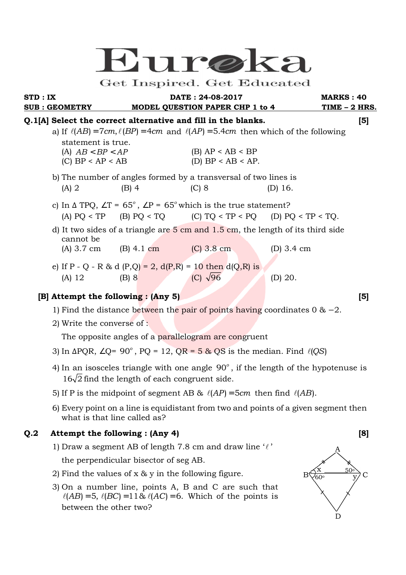# $U$ lin $re$

### Get Inspired. Get Educated

**STD : IX DATE : 24-08-2017 MARKS : 40** 

# **SUB : GEOMETRY MODEL QUESTION PAPER CHP 1 to 4 TIME – 2 HRS. Q.1[A] Select the correct alternative and fill in the blanks. [5]**  a) If  $\ell(AB) = 7cm$ ,  $\ell(BP) = 4cm$  and  $\ell(AP) = 5.4cm$  then which of the following statement is true. (A)  $AB < BP < AP$  (B)  $AP < AB < BP$ (C)  $BP < AP < AB$  (D)  $BP < AB < AP$ . b) The number of angles formed by a transversal of two lines is (A) 2 (B) 4 (C) 8 (D) 16. c) In  $\triangle$  TPQ,  $\angle T = 65^\circ$ ,  $\angle P = 65^\circ$  which is the true statement? (A)  $PO < TP$  (B)  $PO < TO$  (C)  $TO < TP < PO$  (D)  $PO < TP < TO$ . d) It two sides of a triangle are  $5 \text{ cm}$  and  $1.5 \text{ cm}$ , the length of its third side cannot be (A) 3.7 cm (B) 4.1 cm (C) 3.8 cm (D) 3.4 cm e) If P - Q - R & d (P,Q) = 2,  $d(P,R) = 10$  then  $d(Q,R)$  is (A) 12 (B) 8 (C)  $\sqrt{96}$  (D) 20.

# **[B] Attempt the following : (Any 5)** [5]

- 1) Find the distance between the pair of points having coordinates 0 & −2.
- 2) Write the converse of :

The opposite angles of a parallelogram are congruent

- 3) In  $\Delta PQR$ , ∠Q= 90<sup>°</sup>, PQ = 12, QR = 5 & QS is the median. Find  $\ell(QS)$
- 4) In an isosceles triangle with one angle  $90^\circ$ , if the length of the hypotenuse is  $16\sqrt{2}$  find the length of each congruent side.
	- 5) If P is the midpoint of segment AB &  $\ell(AP) = 5cm$  then find  $\ell(AB)$ .
	- 6) Every point on a line is equidistant from two and points of a given segment then what is that line called as?

# **Q.2 Attempt the following : (Any 4) [8]**

- 1) Draw a segment AB of length 7.8 cm and draw line  $\ell'$ the perpendicular bisector of seg AB.
- 2) Find the values of x & y in the following figure.
- 3) On a number line, points A, B and C are such that  $\ell(AB) = 5$ ,  $\ell(BC) = 11\& \ell(AC) = 6$ . Which of the points is between the other two?